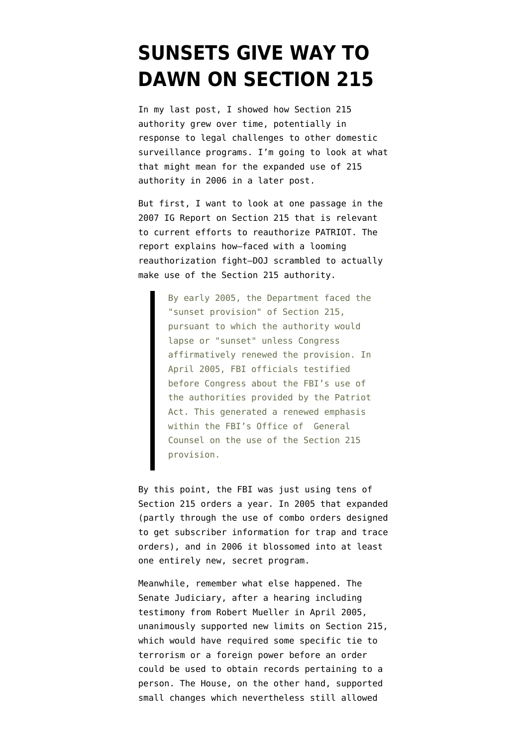## **[SUNSETS GIVE WAY TO](https://www.emptywheel.net/2009/10/07/sunsets-give-way-to-dawns-on-section-215/) [DAWN ON SECTION 215](https://www.emptywheel.net/2009/10/07/sunsets-give-way-to-dawns-on-section-215/)**

In my [last post,](http://emptywheel.firedoglake.com/2009/10/07/bushs-illlegal-domestic-surveillance-program-and-section-215/) I showed how Section 215 authority grew over time, potentially in response to legal challenges to other domestic surveillance programs. I'm going to look at what that might mean for the expanded use of 215 authority in 2006 in a later post.

But first, I want to look at one passage in the [2007 IG Report on Section 215](http://www.usdoj.gov/oig/special/s0703a/final.pdf) that is relevant to current efforts to reauthorize PATRIOT. The report explains how–faced with a looming reauthorization fight–DOJ scrambled to actually make use of the Section 215 authority.

> By early 2005, the Department faced the "sunset provision" of Section 215, pursuant to which the authority would lapse or "sunset" unless Congress affirmatively renewed the provision. In April 2005, FBI officials testified before Congress about the FBI's use of the authorities provided by the Patriot Act. This generated a renewed emphasis within the FBI's Office of General Counsel on the use of the Section 215 provision.

By this point, the FBI was just using tens of Section 215 orders a year. In 2005 that expanded (partly through the use of combo orders designed to get subscriber information for trap and trace orders), and in 2006 it blossomed into at least one entirely new, secret program.

Meanwhile, remember what else happened. The Senate Judiciary, after a [hearing](http://judiciary.senate.gov/hearings/hearing.cfm?id=1439) including [testimony from Robert Mueller](http://judiciary.senate.gov/hearings/testimony.cfm?id=1439&wit_id=608) in April 2005, unanimously supported new limits on Section 215, which would have required some specific tie to terrorism or a foreign power before an order could be used to obtain records pertaining to a person. The House, on the other hand, supported small changes which nevertheless still allowed